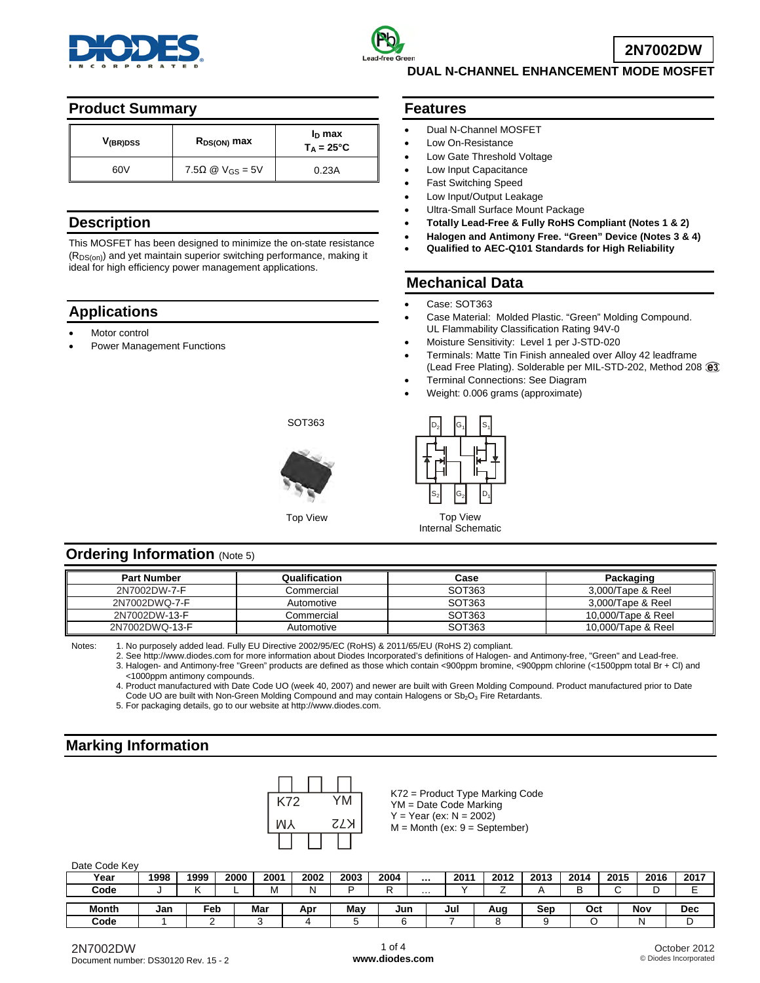



**DUAL N-CHANNEL ENHANCEMENT MODE MOSFET** 

### **Product Summary**

| V <sub>(BR)DSS</sub> | $R_{DS(ON)}$ max                | $I_D$ max<br>$T_A = 25^{\circ}C$ |  |  |
|----------------------|---------------------------------|----------------------------------|--|--|
| 60V                  | $7.5\Omega \otimes V_{GS} = 5V$ | 0.23A                            |  |  |

### **Description**

This MOSFET has been designed to minimize the on-state resistance  $(R_{DS(on)})$  and yet maintain superior switching performance, making it ideal for high efficiency power management applications.

# **Applications**

- Motor control
- Power Management Functions

### **Features**

- Dual N-Channel MOSFET
- Low On-Resistance
- Low Gate Threshold Voltage
- Low Input Capacitance
- Fast Switching Speed
- Low Input/Output Leakage
- Ultra-Small Surface Mount Package
- **Totally Lead-Free & Fully RoHS Compliant (Notes 1 & 2)**
- **Halogen and Antimony Free. "Green" Device (Notes 3 & 4)**
- **Qualified to AEC-Q101 Standards for High Reliability**

## **Mechanical Data**

- Case: SOT363
- Case Material: Molded Plastic. "Green" Molding Compound. UL Flammability Classification Rating 94V-0
- Moisture Sensitivity: Level 1 per J-STD-020
- Terminals: Matte Tin Finish annealed over Alloy 42 leadframe (Lead Free Plating). Solderable per MIL-STD-202, Method 208 @3
- Terminal Connections: See Diagram
- Weight: 0.006 grams (approximate)



Top View Top View Internal Schematic

## **Ordering Information (Note 5)**

| <b>Part Number</b> | Qualification | Case   | Packaging          |
|--------------------|---------------|--------|--------------------|
| 2N7002DW-7-F       | Commercial    | SOT363 | 3,000/Tape & Reel  |
| 2N7002DWQ-7-F      | Automotive    | SOT363 | 3.000/Tape & Reel  |
| 2N7002DW-13-F      | Commercial    | SOT363 | 10.000/Tape & Reel |
| 2N7002DWQ-13-F     | Automotive    | SOT363 | 10,000/Tape & Reel |

Notes: 1. No purposely added lead. Fully EU Directive 2002/95/EC (RoHS) & 2011/65/EU (RoHS 2) compliant.

SOT363

2. See [http://www.diodes.com fo](http://www.diodes.com)r more information about Diodes Incorporated's definitions of Halogen- and Antimony-free, "Green" and Lead-free.

3. Halogen- and Antimony-free "Green" products are defined as those which contain <900ppm bromine, <900ppm chlorine (<1500ppm total Br + Cl) and <1000ppm antimony compounds.

 4. Product manufactured with Date Code UO (week 40, 2007) and newer are built with Green Molding Compound. Product manufactured prior to Date Code UO are built with Non-Green Molding Compound and may contain Halogens or  $Sb_2O_3$  Fire Retardants.

5. For packaging details, go to our website at [http://www.diodes.com.](http://www.diodes.com)

# **Marking Information**



K72 = Product Type Marking Code YM = Date Code Marking  $Y = Year (ex: N = 2002)$  $M =$  Month (ex:  $9 =$  September)

Date Code Key

| .            |      |      |      |      |      |      |      |          |      |      |      |      |      |      |      |
|--------------|------|------|------|------|------|------|------|----------|------|------|------|------|------|------|------|
| Year         | 1998 | 1999 | 2000 | 2001 | 2002 | 2003 | 2004 | $\cdots$ | 2011 | 2012 | 2013 | 2014 | 2015 | 2016 | 2017 |
| Code         |      |      | −    | м    | N    | -    |      | $\cdots$ |      |      |      |      |      |      |      |
|              |      |      |      |      |      |      |      |          |      |      |      |      |      |      |      |
| <b>Month</b> | Jan  | Feb  |      | Mar  | Apr  | Mav  | Jun  |          | Jul  | Aug  | Sep  | Oct  |      | Nov  | Dec  |
| Code         |      |      |      |      |      |      |      |          |      |      |      |      |      |      |      |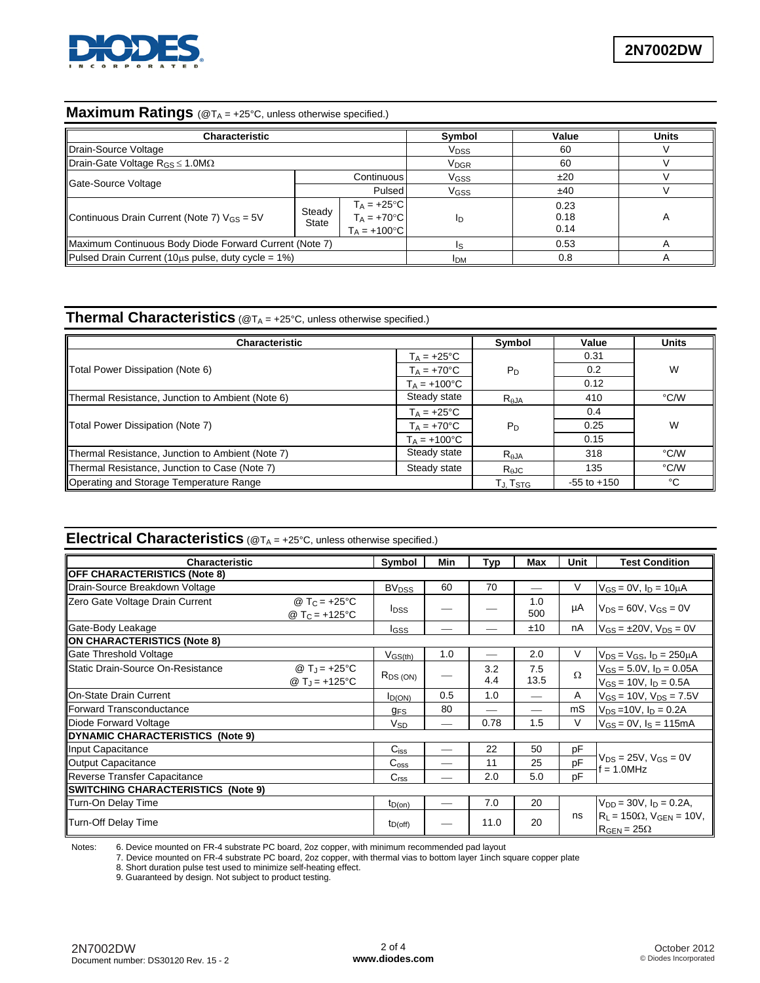

### **Maximum Ratings** (@T<sub>A</sub> = +25°C, unless otherwise specified.)

| Characteristic                                           |                 | Symbol                                                          | Value                  | <b>Units</b>         |  |
|----------------------------------------------------------|-----------------|-----------------------------------------------------------------|------------------------|----------------------|--|
| Drain-Source Voltage                                     |                 |                                                                 | V <sub>DSS</sub>       | 60                   |  |
| Drain-Gate Voltage $R_{GS} \le 1.0 M\Omega$              |                 |                                                                 | <b>V<sub>DGR</sub></b> | 60                   |  |
| Gate-Source Voltage                                      |                 | Continuous                                                      | V <sub>GSS</sub>       | ±20                  |  |
|                                                          | <b>Pulsed</b>   |                                                                 | V <sub>GSS</sub>       | ±40                  |  |
| Continuous Drain Current (Note 7) $V_{GS} = 5V$          | Steady<br>State | $T_A = +25$ °C<br>$T_A = +70^{\circ}C$<br>$T_A = +100^{\circ}C$ | In                     | 0.23<br>0.18<br>0.14 |  |
| Maximum Continuous Body Diode Forward Current (Note 7)   |                 |                                                                 | 0.53                   |                      |  |
| Pulsed Drain Current (10 $\mu$ s pulse, duty cycle = 1%) | <b>IDM</b>      | 0.8                                                             |                        |                      |  |

# **Thermal Characteristics** (@T<sub>A</sub> = +25°C, unless otherwise specified.)

| <b>Characteristic</b>                            |                       | Symbol                                                  | Value           | <b>Units</b> |
|--------------------------------------------------|-----------------------|---------------------------------------------------------|-----------------|--------------|
|                                                  | $T_A = +25^{\circ}C$  |                                                         | 0.31            |              |
| Total Power Dissipation (Note 6)                 | $T_A = +70^{\circ}C$  | $P_D$                                                   | 0.2             | W            |
|                                                  | $T_A = +100^{\circ}C$ |                                                         | 0.12            |              |
| Thermal Resistance, Junction to Ambient (Note 6) | Steady state          | $R_{AJA}$                                               | 410             | °C/W         |
|                                                  | $T_A = +25^{\circ}C$  |                                                         | 0.4             |              |
| Total Power Dissipation (Note 7)                 | $T_A = +70^{\circ}C$  | $P_D$                                                   | 0.25            | W            |
|                                                  | $T_A = +100^{\circ}C$ |                                                         | 0.15            |              |
| Thermal Resistance, Junction to Ambient (Note 7) | Steady state          | $R_{\theta$ JA                                          | 318             | °C/W         |
| Thermal Resistance, Junction to Case (Note 7)    | Steady state          | $R_{\theta}$ JC                                         | 135             | °C/W         |
| Operating and Storage Temperature Range          |                       | $\mathsf{T}_{\mathsf{J}}$ . $\mathsf{T}_{\mathsf{STG}}$ | $-55$ to $+150$ | °C           |

# **Electrical Characteristics** (@T<sub>A</sub> = +25°C, unless otherwise specified.)

| <b>Characteristic</b>                    | Symbol                                                | Min                                | Typ | Max        | Unit        | <b>Test Condition</b> |                                                                        |  |
|------------------------------------------|-------------------------------------------------------|------------------------------------|-----|------------|-------------|-----------------------|------------------------------------------------------------------------|--|
| <b>OFF CHARACTERISTICS (Note 8)</b>      |                                                       |                                    |     |            |             |                       |                                                                        |  |
| Drain-Source Breakdown Voltage           |                                                       | <b>BV<sub>DSS</sub></b>            | 60  | 70         |             | V                     | $V_{GS} = 0V$ , $I_D = 10 \mu A$                                       |  |
| Zero Gate Voltage Drain Current          | @ T <sub>C</sub> = +25°C<br>@ T <sub>C</sub> = +125°C | <b>I</b> <sub>DSS</sub>            |     |            | 1.0<br>500  | μA                    | $V_{DS} = 60V$ , $V_{GS} = 0V$                                         |  |
| Gate-Body Leakage                        |                                                       | <b>I</b> GSS                       |     |            | ±10         | nA                    | $V_{GS} = \pm 20V$ , $V_{DS} = 0V$                                     |  |
| ON CHARACTERISTICS (Note 8)              |                                                       |                                    |     |            |             |                       |                                                                        |  |
| Gate Threshold Voltage                   |                                                       | $V$ <sub>GS<math>(th)</math></sub> | 1.0 |            | 2.0         | V                     | $V_{DS}$ = $V_{GS}$ , $I_D$ = 250 $\mu$ A                              |  |
| <b>Static Drain-Source On-Resistance</b> | @ $T_J = +25$ °C                                      | $R_{DS(ON)}$                       |     | 3.2<br>4.4 | 7.5<br>13.5 | Ω                     | $V_{GS} = 5.0 V$ , $I_D = 0.05 A$                                      |  |
|                                          | @ $T_J = +125$ °C                                     |                                    |     |            |             |                       | $V_{GS}$ = 10V, $I_D$ = 0.5A                                           |  |
| <b>On-State Drain Current</b>            |                                                       | I <sub>D(ON)</sub>                 | 0.5 | 1.0        |             | A                     | $V_{GS} = 10V$ , $V_{DS} = 7.5V$                                       |  |
| <b>IForward Transconductance</b>         |                                                       | <b>g<sub>FS</sub></b>              | 80  |            |             | mS                    | $V_{DS} = 10V$ , $I_D = 0.2A$                                          |  |
| Diode Forward Voltage                    |                                                       | Vsp                                |     | 0.78       | 1.5         | V                     | $V_{GS} = 0V$ , $I_S = 115mA$                                          |  |
| DYNAMIC CHARACTERISTICS (Note 9)         |                                                       |                                    |     |            |             |                       |                                                                        |  |
| Input Capacitance                        |                                                       | $C$ <sub>iss</sub>                 |     | 22         | 50          | pF                    |                                                                        |  |
| <b>Output Capacitance</b>                |                                                       | $C_{\rm oss}$                      |     | 11         | 25          | pF                    | $V_{DS} = 25V$ , $V_{GS} = 0V$<br>$= 1.0$ MHz                          |  |
| Reverse Transfer Capacitance             |                                                       | C <sub>rss</sub>                   |     | 2.0        | 5.0         | pF                    |                                                                        |  |
| SWITCHING CHARACTERISTICS (Note 9)       |                                                       |                                    |     |            |             |                       |                                                                        |  |
| Turn-On Delay Time                       |                                                       | $t_{D(on)}$                        |     | 7.0        | 20          |                       | $V_{DD} = 30V$ , $I_D = 0.2A$ ,                                        |  |
| Turn-Off Delay Time                      |                                                       | $t_{D(off)}$                       |     | 11.0       | 20          | ns                    | $R_L$ = 150 $\Omega$ , $V_{GEN}$ = 10V,<br>$R_{\text{GEN}} = 25\Omega$ |  |

Notes: 6. Device mounted on FR-4 substrate PC board, 2oz copper, with minimum recommended pad layout

7. Device mounted on FR-4 substrate PC board, 2oz copper, with thermal vias to bottom layer 1inch square copper plate

8. Short duration pulse test used to minimize self-heating effect.

9. Guaranteed by design. Not subject to product testing.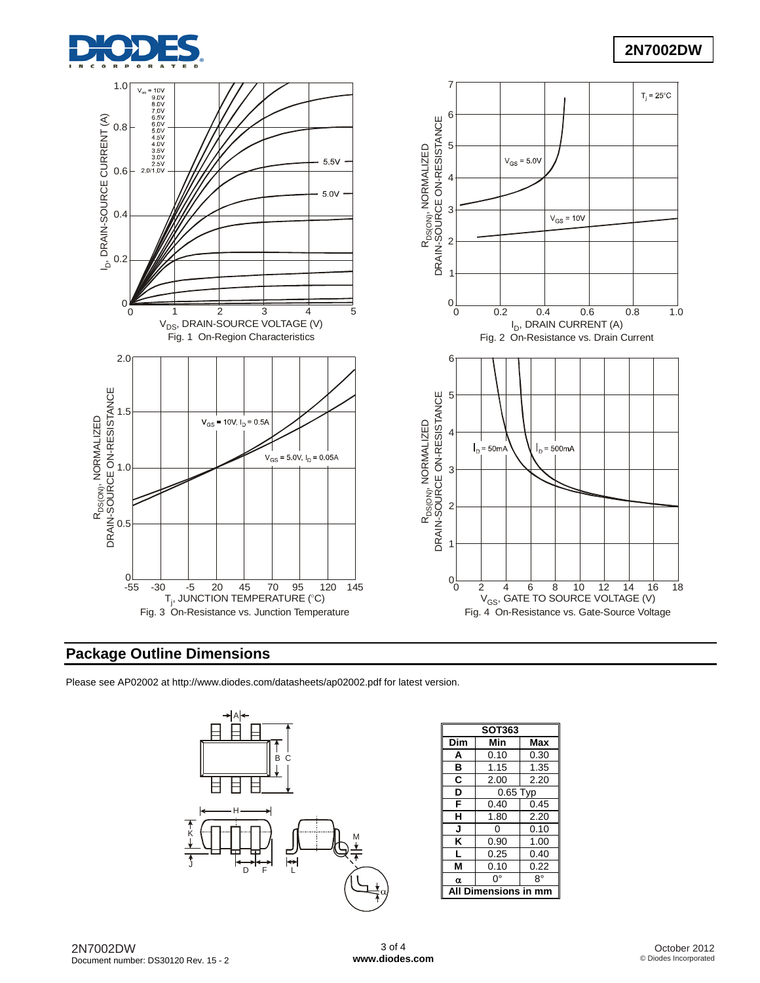

# **2N7002DW**



# **Package Outline Dimensions**

Please see AP02002 at [http://www.diodes.com/datasheets/ap02002.pdf fo](http://www.diodes.com/datasheets/ap02002.pdf)r latest version.



| <b>SOT363</b> |                  |      |  |  |  |  |
|---------------|------------------|------|--|--|--|--|
| Dim           | Min              | Max  |  |  |  |  |
| A             | 0.10             | 0.30 |  |  |  |  |
| в             | 1.15             | 1.35 |  |  |  |  |
| C             | 2.00             | 2.20 |  |  |  |  |
| D             | $0.65$ Typ       |      |  |  |  |  |
| F             | 0.40             | 0.45 |  |  |  |  |
| н             | 1.80             | 2.20 |  |  |  |  |
| J             | 0                | 0.10 |  |  |  |  |
| K             | 0.90             | 1.00 |  |  |  |  |
| L             | 0.25             | 0.40 |  |  |  |  |
| М             | 0.10             | 0.22 |  |  |  |  |
| α             | o۰               | 8°   |  |  |  |  |
|               | Dimensions in mm |      |  |  |  |  |